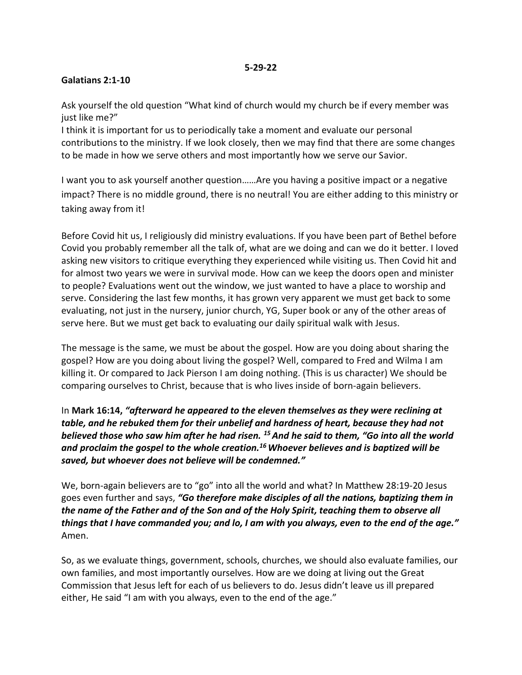#### **Galatians 2:1-10**

Ask yourself the old question "What kind of church would my church be if every member was just like me?"

I think it is important for us to periodically take a moment and evaluate our personal contributions to the ministry. If we look closely, then we may find that there are some changes to be made in how we serve others and most importantly how we serve our Savior.

I want you to ask yourself another question……Are you having a positive impact or a negative impact? There is no middle ground, there is no neutral! You are either adding to this ministry or taking away from it!

Before Covid hit us, I religiously did ministry evaluations. If you have been part of Bethel before Covid you probably remember all the talk of, what are we doing and can we do it better. I loved asking new visitors to critique everything they experienced while visiting us. Then Covid hit and for almost two years we were in survival mode. How can we keep the doors open and minister to people? Evaluations went out the window, we just wanted to have a place to worship and serve. Considering the last few months, it has grown very apparent we must get back to some evaluating, not just in the nursery, junior church, YG, Super book or any of the other areas of serve here. But we must get back to evaluating our daily spiritual walk with Jesus.

The message is the same, we must be about the gospel. How are you doing about sharing the gospel? How are you doing about living the gospel? Well, compared to Fred and Wilma I am killing it. Or compared to Jack Pierson I am doing nothing. (This is us character) We should be comparing ourselves to Christ, because that is who lives inside of born-again believers.

In **Mark 16:14,** *"afterward he appeared to the eleven themselves as they were reclining at table, and he rebuked them for their unbelief and hardness of heart, because they had not believed those who saw him after he had risen. <sup>15</sup>And he said to them, "Go into all the world and proclaim the gospel to the whole creation.<sup>16</sup>Whoever believes and is baptized will be saved, but whoever does not believe will be condemned."*

We, born-again believers are to "go" into all the world and what? In Matthew 28:19-20 Jesus goes even further and says, *"Go therefore make disciples of all the nations, baptizing them in the name of the Father and of the Son and of the Holy Spirit, teaching them to observe all things that I have commanded you; and lo, I am with you always, even to the end of the age."* Amen.

So, as we evaluate things, government, schools, churches, we should also evaluate families, our own families, and most importantly ourselves. How are we doing at living out the Great Commission that Jesus left for each of us believers to do. Jesus didn't leave us ill prepared either, He said "I am with you always, even to the end of the age."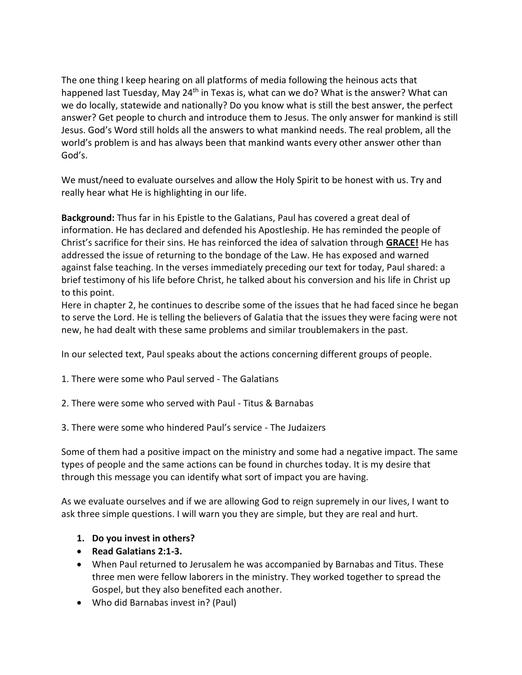The one thing I keep hearing on all platforms of media following the heinous acts that happened last Tuesday, May 24<sup>th</sup> in Texas is, what can we do? What is the answer? What can we do locally, statewide and nationally? Do you know what is still the best answer, the perfect answer? Get people to church and introduce them to Jesus. The only answer for mankind is still Jesus. God's Word still holds all the answers to what mankind needs. The real problem, all the world's problem is and has always been that mankind wants every other answer other than God's.

We must/need to evaluate ourselves and allow the Holy Spirit to be honest with us. Try and really hear what He is highlighting in our life.

**Background:** Thus far in his Epistle to the Galatians, Paul has covered a great deal of information. He has declared and defended his Apostleship. He has reminded the people of Christ's sacrifice for their sins. He has reinforced the idea of salvation through **GRACE!** He has addressed the issue of returning to the bondage of the Law. He has exposed and warned against false teaching. In the verses immediately preceding our text for today, Paul shared: a brief testimony of his life before Christ, he talked about his conversion and his life in Christ up to this point.

Here in chapter 2, he continues to describe some of the issues that he had faced since he began to serve the Lord. He is telling the believers of Galatia that the issues they were facing were not new, he had dealt with these same problems and similar troublemakers in the past.

In our selected text, Paul speaks about the actions concerning different groups of people.

1. There were some who Paul served - The Galatians

- 2. There were some who served with Paul Titus & Barnabas
- 3. There were some who hindered Paul's service The Judaizers

Some of them had a positive impact on the ministry and some had a negative impact. The same types of people and the same actions can be found in churches today. It is my desire that through this message you can identify what sort of impact you are having.

As we evaluate ourselves and if we are allowing God to reign supremely in our lives, I want to ask three simple questions. I will warn you they are simple, but they are real and hurt.

#### **1. Do you invest in others?**

- **Read Galatians 2:1-3.**
- When Paul returned to Jerusalem he was accompanied by Barnabas and Titus. These three men were fellow laborers in the ministry. They worked together to spread the Gospel, but they also benefited each another.
- Who did Barnabas invest in? (Paul)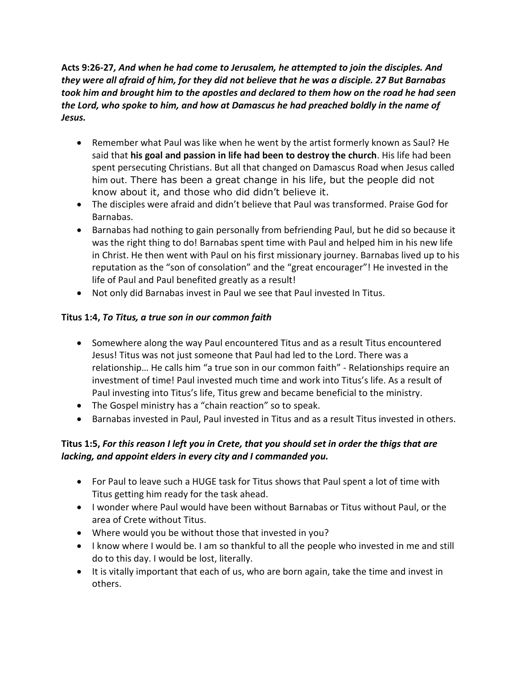**Acts 9:26-27***, And when he had come to Jerusalem, he attempted to join the disciples. And they were all afraid of him, for they did not believe that he was a disciple. 27 But Barnabas took him and brought him to the apostles and declared to them how on the road he had seen the Lord, who spoke to him, and how at Damascus he had preached boldly in the name of Jesus.*

- Remember what Paul was like when he went by the artist formerly known as Saul? He said that **his goal and passion in life had been to destroy the church**. His life had been spent persecuting Christians. But all that changed on Damascus Road when Jesus called him out. There has been a great change in his life, but the people did not know about it, and those who did didn't believe it.
- The disciples were afraid and didn't believe that Paul was transformed. Praise God for Barnabas.
- Barnabas had nothing to gain personally from befriending Paul, but he did so because it was the right thing to do! Barnabas spent time with Paul and helped him in his new life in Christ. He then went with Paul on his first missionary journey. Barnabas lived up to his reputation as the "son of consolation" and the "great encourager"! He invested in the life of Paul and Paul benefited greatly as a result!
- Not only did Barnabas invest in Paul we see that Paul invested In Titus.

# **Titus 1:4,** *To Titus, a true son in our common faith*

- Somewhere along the way Paul encountered Titus and as a result Titus encountered Jesus! Titus was not just someone that Paul had led to the Lord. There was a relationship… He calls him "a true son in our common faith" - Relationships require an investment of time! Paul invested much time and work into Titus's life. As a result of Paul investing into Titus's life, Titus grew and became beneficial to the ministry.
- The Gospel ministry has a "chain reaction" so to speak.
- Barnabas invested in Paul, Paul invested in Titus and as a result Titus invested in others.

# **Titus 1:5,** *For this reason I left you in Crete, that you should set in order the thigs that are lacking, and appoint elders in every city and I commanded you.*

- For Paul to leave such a HUGE task for Titus shows that Paul spent a lot of time with Titus getting him ready for the task ahead.
- I wonder where Paul would have been without Barnabas or Titus without Paul, or the area of Crete without Titus.
- Where would you be without those that invested in you?
- I know where I would be. I am so thankful to all the people who invested in me and still do to this day. I would be lost, literally.
- It is vitally important that each of us, who are born again, take the time and invest in others.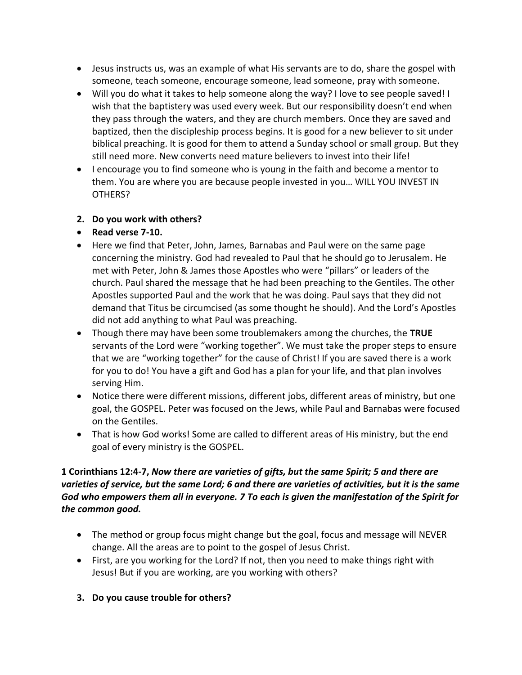- Jesus instructs us, was an example of what His servants are to do, share the gospel with someone, teach someone, encourage someone, lead someone, pray with someone.
- Will you do what it takes to help someone along the way? I love to see people saved! I wish that the baptistery was used every week. But our responsibility doesn't end when they pass through the waters, and they are church members. Once they are saved and baptized, then the discipleship process begins. It is good for a new believer to sit under biblical preaching. It is good for them to attend a Sunday school or small group. But they still need more. New converts need mature believers to invest into their life!
- I encourage you to find someone who is young in the faith and become a mentor to them. You are where you are because people invested in you… WILL YOU INVEST IN OTHERS?
- **2. Do you work with others?**
- **Read verse 7-10.**
- Here we find that Peter, John, James, Barnabas and Paul were on the same page concerning the ministry. God had revealed to Paul that he should go to Jerusalem. He met with Peter, John & James those Apostles who were "pillars" or leaders of the church. Paul shared the message that he had been preaching to the Gentiles. The other Apostles supported Paul and the work that he was doing. Paul says that they did not demand that Titus be circumcised (as some thought he should). And the Lord's Apostles did not add anything to what Paul was preaching.
- Though there may have been some troublemakers among the churches, the **TRUE** servants of the Lord were "working together". We must take the proper steps to ensure that we are "working together" for the cause of Christ! If you are saved there is a work for you to do! You have a gift and God has a plan for your life, and that plan involves serving Him.
- Notice there were different missions, different jobs, different areas of ministry, but one goal, the GOSPEL. Peter was focused on the Jews, while Paul and Barnabas were focused on the Gentiles.
- That is how God works! Some are called to different areas of His ministry, but the end goal of every ministry is the GOSPEL.

### **1 Corinthians 12:4-7,** *Now there are varieties of gifts, but the same Spirit; 5 and there are varieties of service, but the same Lord; 6 and there are varieties of activities, but it is the same God who empowers them all in everyone. 7 To each is given the manifestation of the Spirit for the common good.*

- The method or group focus might change but the goal, focus and message will NEVER change. All the areas are to point to the gospel of Jesus Christ.
- First, are you working for the Lord? If not, then you need to make things right with Jesus! But if you are working, are you working with others?
- **3. Do you cause trouble for others?**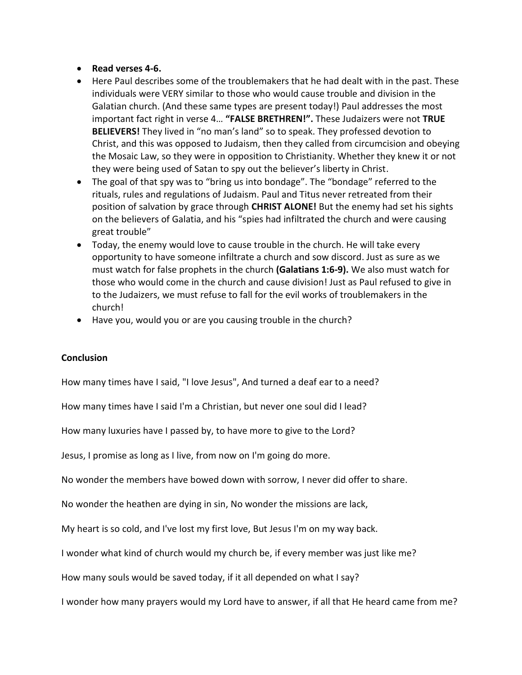- **Read verses 4-6.**
- Here Paul describes some of the troublemakers that he had dealt with in the past. These individuals were VERY similar to those who would cause trouble and division in the Galatian church. (And these same types are present today!) Paul addresses the most important fact right in verse 4… **"FALSE BRETHREN!".** These Judaizers were not **TRUE BELIEVERS!** They lived in "no man's land" so to speak. They professed devotion to Christ, and this was opposed to Judaism, then they called from circumcision and obeying the Mosaic Law, so they were in opposition to Christianity. Whether they knew it or not they were being used of Satan to spy out the believer's liberty in Christ.
- The goal of that spy was to "bring us into bondage". The "bondage" referred to the rituals, rules and regulations of Judaism. Paul and Titus never retreated from their position of salvation by grace through **CHRIST ALONE!** But the enemy had set his sights on the believers of Galatia, and his "spies had infiltrated the church and were causing great trouble"
- Today, the enemy would love to cause trouble in the church. He will take every opportunity to have someone infiltrate a church and sow discord. Just as sure as we must watch for false prophets in the church **(Galatians 1:6-9).** We also must watch for those who would come in the church and cause division! Just as Paul refused to give in to the Judaizers, we must refuse to fall for the evil works of troublemakers in the church!
- Have you, would you or are you causing trouble in the church?

#### **Conclusion**

How many times have I said, "I love Jesus", And turned a deaf ear to a need?

How many times have I said I'm a Christian, but never one soul did I lead?

How many luxuries have I passed by, to have more to give to the Lord?

Jesus, I promise as long as I live, from now on I'm going do more.

No wonder the members have bowed down with sorrow, I never did offer to share.

No wonder the heathen are dying in sin, No wonder the missions are lack,

My heart is so cold, and I've lost my first love, But Jesus I'm on my way back.

I wonder what kind of church would my church be, if every member was just like me?

How many souls would be saved today, if it all depended on what I say?

I wonder how many prayers would my Lord have to answer, if all that He heard came from me?